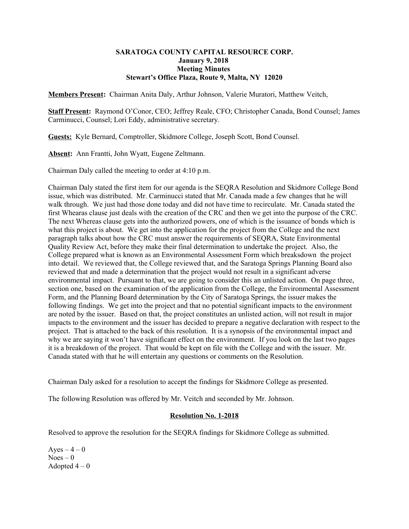## **SARATOGA COUNTY CAPITAL RESOURCE CORP. January 9, 2018 Meeting Minutes Stewart's Office Plaza, Route 9, Malta, NY 12020**

**Members Present:** Chairman Anita Daly, Arthur Johnson, Valerie Muratori, Matthew Veitch,

**Staff Present:** Raymond O'Conor, CEO; Jeffrey Reale, CFO; Christopher Canada, Bond Counsel; James Carminucci, Counsel; Lori Eddy, administrative secretary.

**Guests:** Kyle Bernard, Comptroller, Skidmore College, Joseph Scott, Bond Counsel.

**Absent:** Ann Frantti, John Wyatt, Eugene Zeltmann.

Chairman Daly called the meeting to order at 4:10 p.m.

Chairman Daly stated the first item for our agenda is the SEQRA Resolution and Skidmore College Bond issue, which was distributed. Mr. Carminucci stated that Mr. Canada made a few changes that he will walk through. We just had those done today and did not have time to recirculate. Mr. Canada stated the first Whearas clause just deals with the creation of the CRC and then we get into the purpose of the CRC. The next Whereas clause gets into the authorized powers, one of which is the issuance of bonds which is what this project is about. We get into the application for the project from the College and the next paragraph talks about how the CRC must answer the requirements of SEQRA, State Environmental Quality Review Act, before they make their final determination to undertake the project. Also, the College prepared what is known as an Environmental Assessment Form which breaksdown the project into detail. We reviewed that, the College reviewed that, and the Saratoga Springs Planning Board also reviewed that and made a determination that the project would not result in a significant adverse environmental impact. Pursuant to that, we are going to consider this an unlisted action. On page three, section one, based on the examination of the application from the College, the Environmental Assessment Form, and the Planning Board determination by the City of Saratoga Springs, the issuer makes the following findings. We get into the project and that no potential significant impacts to the environment are noted by the issuer. Based on that, the project constitutes an unlisted action, will not result in major impacts to the environment and the issuer has decided to prepare a negative declaration with respect to the project. That is attached to the back of this resolution. It is a synopsis of the environmental impact and why we are saying it won't have significant effect on the environment. If you look on the last two pages it is a breakdown of the project. That would be kept on file with the College and with the issuer. Mr. Canada stated with that he will entertain any questions or comments on the Resolution.

Chairman Daly asked for a resolution to accept the findings for Skidmore College as presented.

The following Resolution was offered by Mr. Veitch and seconded by Mr. Johnson.

### **Resolution No. 1-2018**

Resolved to approve the resolution for the SEQRA findings for Skidmore College as submitted.

Ayes  $-4-0$  $Noes - 0$ Adopted  $4-0$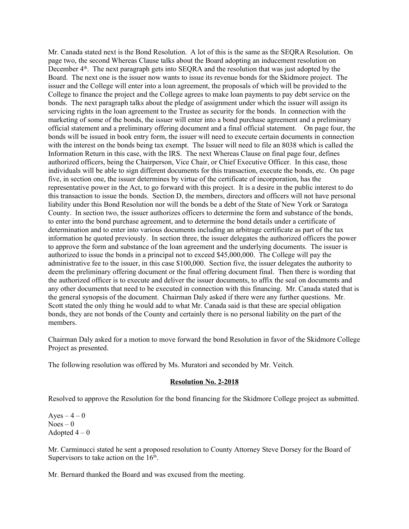Mr. Canada stated next is the Bond Resolution. A lot of this is the same as the SEQRA Resolution. On page two, the second Whereas Clause talks about the Board adopting an inducement resolution on December  $4<sup>th</sup>$ . The next paragraph gets into SEQRA and the resolution that was just adopted by the Board. The next one is the issuer now wants to issue its revenue bonds for the Skidmore project. The issuer and the College will enter into a loan agreement, the proposals of which will be provided to the College to finance the project and the College agrees to make loan payments to pay debt service on the bonds. The next paragraph talks about the pledge of assignment under which the issuer will assign its servicing rights in the loan agreement to the Trustee as security for the bonds. In connection with the marketing of some of the bonds, the issuer will enter into a bond purchase agreement and a preliminary official statement and a preliminary offering document and a final official statement. On page four, the bonds will be issued in book entry form, the issuer will need to execute certain documents in connection with the interest on the bonds being tax exempt. The Issuer will need to file an 8038 which is called the Information Return in this case, with the IRS. The next Whereas Clause on final page four, defines authorized officers, being the Chairperson, Vice Chair, or Chief Executive Officer. In this case, those individuals will be able to sign different documents for this transaction, execute the bonds, etc. On page five, in section one, the issuer determines by virtue of the certificate of incorporation, has the representative power in the Act, to go forward with this project. It is a desire in the public interest to do this transaction to issue the bonds. Section D, the members, directors and officers will not have personal liability under this Bond Resolution nor will the bonds be a debt of the State of New York or Saratoga County. In section two, the issuer authorizes officers to determine the form and substance of the bonds, to enter into the bond purchase agreement, and to determine the bond details under a certificate of determination and to enter into various documents including an arbitrage certificate as part of the tax information he quoted previously. In section three, the issuer delegates the authorized officers the power to approve the form and substance of the loan agreement and the underlying documents. The issuer is authorized to issue the bonds in a principal not to exceed \$45,000,000. The College will pay the administrative fee to the issuer, in this case \$100,000. Section five, the issuer delegates the authority to deem the preliminary offering document or the final offering document final. Then there is wording that the authorized officer is to execute and deliver the issuer documents, to affix the seal on documents and any other documents that need to be executed in connection with this financing. Mr. Canada stated that is the general synopsis of the document. Chairman Daly asked if there were any further questions. Mr. Scott stated the only thing he would add to what Mr. Canada said is that these are special obligation bonds, they are not bonds of the County and certainly there is no personal liability on the part of the members.

Chairman Daly asked for a motion to move forward the bond Resolution in favor of the Skidmore College Project as presented.

The following resolution was offered by Ms. Muratori and seconded by Mr. Veitch.

### **Resolution No. 2-2018**

Resolved to approve the Resolution for the bond financing for the Skidmore College project as submitted.

Ayes  $-4-0$  $Noes - 0$ Adopted  $4-0$ 

Mr. Carminucci stated he sent a proposed resolution to County Attorney Steve Dorsey for the Board of Supervisors to take action on the  $16<sup>th</sup>$ .

Mr. Bernard thanked the Board and was excused from the meeting.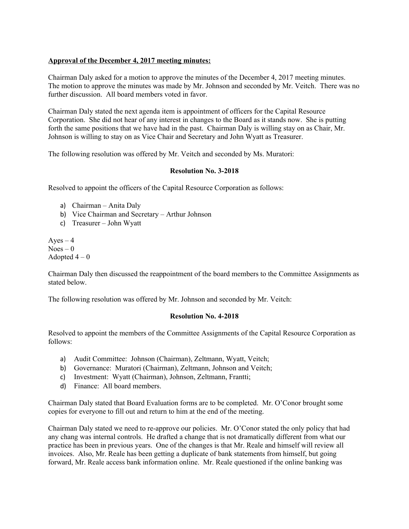# **Approval of the December 4, 2017 meeting minutes:**

Chairman Daly asked for a motion to approve the minutes of the December 4, 2017 meeting minutes. The motion to approve the minutes was made by Mr. Johnson and seconded by Mr. Veitch. There was no further discussion. All board members voted in favor.

Chairman Daly stated the next agenda item is appointment of officers for the Capital Resource Corporation. She did not hear of any interest in changes to the Board as it stands now. She is putting forth the same positions that we have had in the past. Chairman Daly is willing stay on as Chair, Mr. Johnson is willing to stay on as Vice Chair and Secretary and John Wyatt as Treasurer.

The following resolution was offered by Mr. Veitch and seconded by Ms. Muratori:

# **Resolution No. 3-2018**

Resolved to appoint the officers of the Capital Resource Corporation as follows:

- a) Chairman Anita Daly
- b) Vice Chairman and Secretary Arthur Johnson
- c) Treasurer John Wyatt

Ayes  $-4$  $Noes - 0$ Adopted  $4-0$ 

Chairman Daly then discussed the reappointment of the board members to the Committee Assignments as stated below.

The following resolution was offered by Mr. Johnson and seconded by Mr. Veitch:

## **Resolution No. 4-2018**

Resolved to appoint the members of the Committee Assignments of the Capital Resource Corporation as follows:

- a) Audit Committee: Johnson (Chairman), Zeltmann, Wyatt, Veitch;
- b) Governance: Muratori (Chairman), Zeltmann, Johnson and Veitch;
- c) Investment: Wyatt (Chairman), Johnson, Zeltmann, Frantti;
- d) Finance: All board members.

Chairman Daly stated that Board Evaluation forms are to be completed. Mr. O'Conor brought some copies for everyone to fill out and return to him at the end of the meeting.

Chairman Daly stated we need to re-approve our policies. Mr. O'Conor stated the only policy that had any chang was internal controls. He drafted a change that is not dramatically different from what our practice has been in previous years. One of the changes is that Mr. Reale and himself will review all invoices. Also, Mr. Reale has been getting a duplicate of bank statements from himself, but going forward, Mr. Reale access bank information online. Mr. Reale questioned if the online banking was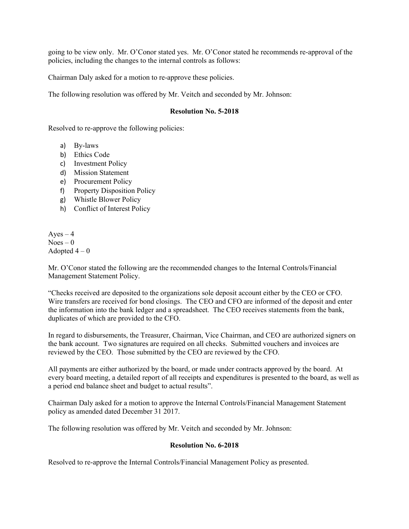going to be view only. Mr. O'Conor stated yes. Mr. O'Conor stated he recommends re-approval of the policies, including the changes to the internal controls as follows:

Chairman Daly asked for a motion to re-approve these policies.

The following resolution was offered by Mr. Veitch and seconded by Mr. Johnson:

### **Resolution No. 5-2018**

Resolved to re-approve the following policies:

- a) By-laws
- b) Ethics Code
- c) Investment Policy
- d) Mission Statement
- e) Procurement Policy
- f) Property Disposition Policy
- g) Whistle Blower Policy
- h) Conflict of Interest Policy

 $Ayes - 4$  $Noes - 0$ Adopted  $4-0$ 

Mr. O'Conor stated the following are the recommended changes to the Internal Controls/Financial Management Statement Policy.

"Checks received are deposited to the organizations sole deposit account either by the CEO or CFO. Wire transfers are received for bond closings. The CEO and CFO are informed of the deposit and enter the information into the bank ledger and a spreadsheet. The CEO receives statements from the bank, duplicates of which are provided to the CFO.

In regard to disbursements, the Treasurer, Chairman, Vice Chairman, and CEO are authorized signers on the bank account. Two signatures are required on all checks. Submitted vouchers and invoices are reviewed by the CEO. Those submitted by the CEO are reviewed by the CFO.

All payments are either authorized by the board, or made under contracts approved by the board. At every board meeting, a detailed report of all receipts and expenditures is presented to the board, as well as a period end balance sheet and budget to actual results".

Chairman Daly asked for a motion to approve the Internal Controls/Financial Management Statement policy as amended dated December 31 2017.

The following resolution was offered by Mr. Veitch and seconded by Mr. Johnson:

### **Resolution No. 6-2018**

Resolved to re-approve the Internal Controls/Financial Management Policy as presented.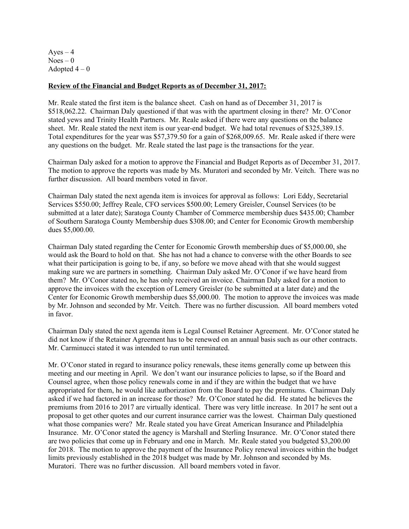$Ayes - 4$  $Noes - 0$ Adopted  $4-0$ 

## **Review of the Financial and Budget Reports as of December 31, 2017:**

Mr. Reale stated the first item is the balance sheet. Cash on hand as of December 31, 2017 is \$518,062.22. Chairman Daly questioned if that was with the apartment closing in there? Mr. O'Conor stated yews and Trinity Health Partners. Mr. Reale asked if there were any questions on the balance sheet. Mr. Reale stated the next item is our year-end budget. We had total revenues of \$325,389.15. Total expenditures for the year was \$57,379.50 for a gain of \$268,009.65. Mr. Reale asked if there were any questions on the budget. Mr. Reale stated the last page is the transactions for the year.

Chairman Daly asked for a motion to approve the Financial and Budget Reports as of December 31, 2017. The motion to approve the reports was made by Ms. Muratori and seconded by Mr. Veitch. There was no further discussion. All board members voted in favor.

Chairman Daly stated the next agenda item is invoices for approval as follows: Lori Eddy, Secretarial Services \$550.00; Jeffrey Reale, CFO services \$500.00; Lemery Greisler, Counsel Services (to be submitted at a later date); Saratoga County Chamber of Commerce membership dues \$435.00; Chamber of Southern Saratoga County Membership dues \$308.00; and Center for Economic Growth membership dues \$5,000.00.

Chairman Daly stated regarding the Center for Economic Growth membership dues of \$5,000.00, she would ask the Board to hold on that. She has not had a chance to converse with the other Boards to see what their participation is going to be, if any, so before we move ahead with that she would suggest making sure we are partners in something. Chairman Daly asked Mr. O'Conor if we have heard from them? Mr. O'Conor stated no, he has only received an invoice. Chairman Daly asked for a motion to approve the invoices with the exception of Lemery Greisler (to be submitted at a later date) and the Center for Economic Growth membership dues \$5,000.00. The motion to approve the invoices was made by Mr. Johnson and seconded by Mr. Veitch. There was no further discussion. All board members voted in favor.

Chairman Daly stated the next agenda item is Legal Counsel Retainer Agreement. Mr. O'Conor stated he did not know if the Retainer Agreement has to be renewed on an annual basis such as our other contracts. Mr. Carminucci stated it was intended to run until terminated.

Mr. O'Conor stated in regard to insurance policy renewals, these items generally come up between this meeting and our meeting in April. We don't want our insurance policies to lapse, so if the Board and Counsel agree, when those policy renewals come in and if they are within the budget that we have appropriated for them, he would like authorization from the Board to pay the premiums. Chairman Daly asked if we had factored in an increase for those? Mr. O'Conor stated he did. He stated he believes the premiums from 2016 to 2017 are virtually identical. There was very little increase. In 2017 he sent out a proposal to get other quotes and our current insurance carrier was the lowest. Chairman Daly questioned what those companies were? Mr. Reale stated you have Great American Insurance and Philadelphia Insurance. Mr. O'Conor stated the agency is Marshall and Sterling Insurance. Mr. O'Conor stated there are two policies that come up in February and one in March. Mr. Reale stated you budgeted \$3,200.00 for 2018. The motion to approve the payment of the Insurance Policy renewal invoices within the budget limits previously established in the 2018 budget was made by Mr. Johnson and seconded by Ms. Muratori. There was no further discussion. All board members voted in favor.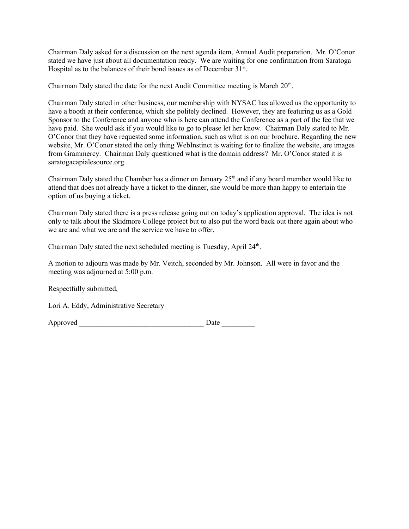Chairman Daly asked for a discussion on the next agenda item, Annual Audit preparation. Mr. O'Conor stated we have just about all documentation ready. We are waiting for one confirmation from Saratoga Hospital as to the balances of their bond issues as of December  $31<sup>st</sup>$ .

Chairman Daly stated the date for the next Audit Committee meeting is March  $20<sup>th</sup>$ .

Chairman Daly stated in other business, our membership with NYSAC has allowed us the opportunity to have a booth at their conference, which she politely declined. However, they are featuring us as a Gold Sponsor to the Conference and anyone who is here can attend the Conference as a part of the fee that we have paid. She would ask if you would like to go to please let her know. Chairman Daly stated to Mr. O'Conor that they have requested some information, such as what is on our brochure. Regarding the new website, Mr. O'Conor stated the only thing WebInstinct is waiting for to finalize the website, are images from Grammercy. Chairman Daly questioned what is the domain address? Mr. O'Conor stated it is saratogacapialesource.org.

Chairman Daly stated the Chamber has a dinner on January  $25<sup>th</sup>$  and if any board member would like to attend that does not already have a ticket to the dinner, she would be more than happy to entertain the option of us buying a ticket.

Chairman Daly stated there is a press release going out on today's application approval. The idea is not only to talk about the Skidmore College project but to also put the word back out there again about who we are and what we are and the service we have to offer.

Chairman Daly stated the next scheduled meeting is Tuesday, April 24<sup>th</sup>.

A motion to adjourn was made by Mr. Veitch, seconded by Mr. Johnson. All were in favor and the meeting was adjourned at 5:00 p.m.

Respectfully submitted,

Lori A. Eddy, Administrative Secretary

Approved \_\_\_\_\_\_\_\_\_\_\_\_\_\_\_\_\_\_\_\_\_\_\_\_\_\_\_\_\_\_\_\_\_\_ Date \_\_\_\_\_\_\_\_\_